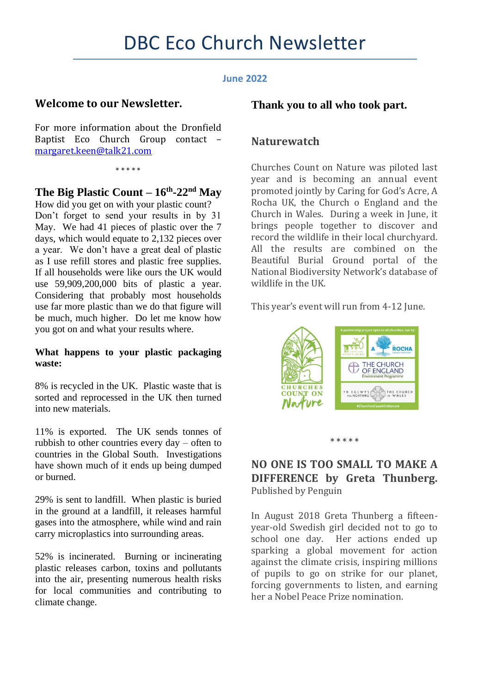## **June 2022**

# **Welcome to our Newsletter.**

For more information about the Dronfield Baptist Eco Church Group contact – [margaret.keen@talk21.com](mailto:margaret.keen@talk21.com)

\* \* \* \* \*

## **The Big Plastic Count – 16th -22nd May**

How did you get on with your plastic count? Don't forget to send your results in by 31 May. We had 41 pieces of plastic over the 7 days, which would equate to 2,132 pieces over a year. We don't have a great deal of plastic as I use refill stores and plastic free supplies. If all households were like ours the UK would use 59,909,200,000 bits of plastic a year. Considering that probably most households use far more plastic than we do that figure will be much, much higher. Do let me know how you got on and what your results where.

### **What happens to your plastic packaging waste:**

8% is recycled in the UK. Plastic waste that is sorted and reprocessed in the UK then turned into new materials.

11% is exported. The UK sends tonnes of rubbish to other countries every day – often to countries in the Global South. Investigations have shown much of it ends up being dumped or burned.

29% is sent to landfill. When plastic is buried in the ground at a landfill, it releases harmful gases into the atmosphere, while wind and rain carry microplastics into surrounding areas.

52% is incinerated. Burning or incinerating plastic releases carbon, toxins and pollutants into the air, presenting numerous health risks for local communities and contributing to climate change.

## **Thank you to all who took part.**

## **Naturewatch**

Churches Count on Nature was piloted last year and is becoming an annual event promoted jointly by Caring for God's Acre, A Rocha UK, the Church o England and the Church in Wales. During a week in June, it brings people together to discover and record the wildlife in their local churchyard. All the results are combined on the Beautiful Burial Ground portal of the National Biodiversity Network's database of wildlife in the UK.

This year's event will run from 4-12 June.



#### **\* \* \* \* \***

## **NO ONE IS TOO SMALL TO MAKE A DIFFERENCE by Greta Thunberg.**  Published by Penguin

In August 2018 Greta Thunberg a fifteenyear-old Swedish girl decided not to go to school one day. Her actions ended up sparking a global movement for action against the climate crisis, inspiring millions of pupils to go on strike for our planet, forcing governments to listen, and earning her a Nobel Peace Prize nomination.